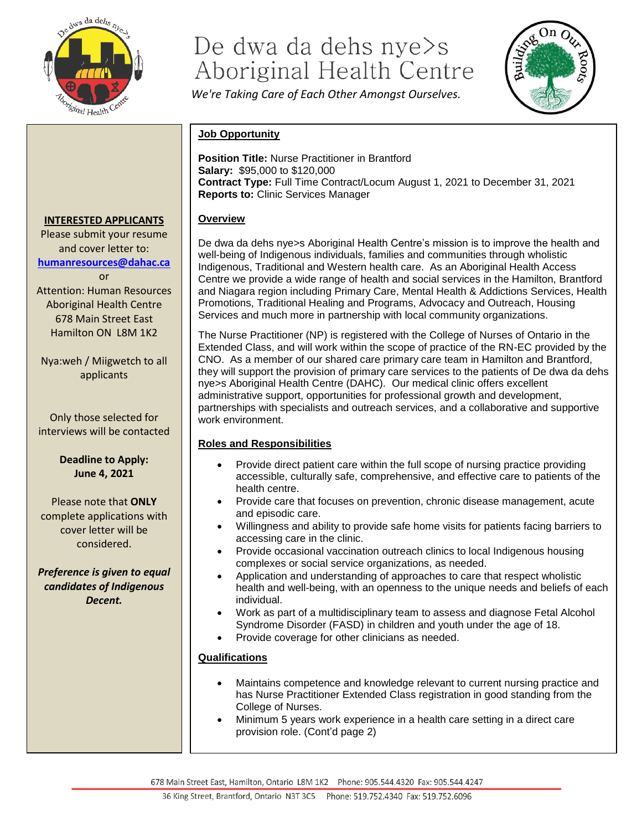

# De dwa da dehs nye>s Aboriginal Health Centre

*We're Taking Care of Each Other Amongst Ourselves.*



# **Job Opportunity**

**Position Title:** Nurse Practitioner in Brantford **Salary:** \$95,000 to \$120,000 **Contract Type:** Full Time Contract/Locum August 1, 2021 to December 31, 2021 **Reports to:** Clinic Services Manager

#### **Overview**

De dwa da dehs nye>s Aboriginal Health Centre's mission is to improve the health and well-being of Indigenous individuals, families and communities through wholistic Indigenous, Traditional and Western health care. As an Aboriginal Health Access Centre we provide a wide range of health and social services in the Hamilton, Brantford and Niagara region including Primary Care, Mental Health & Addictions Services, Health Promotions, Traditional Healing and Programs, Advocacy and Outreach, Housing Services and much more in partnership with local community organizations.

The Nurse Practitioner (NP) is registered with the College of Nurses of Ontario in the Extended Class, and will work within the scope of practice of the RN-EC provided by the CNO. As a member of our shared care primary care team in Hamilton and Brantford, they will support the provision of primary care services to the patients of De dwa da dehs nye>s Aboriginal Health Centre (DAHC). Our medical clinic offers excellent administrative support, opportunities for professional growth and development, partnerships with specialists and outreach services, and a collaborative and supportive work environment.

#### **Roles and Responsibilities**

- Provide direct patient care within the full scope of nursing practice providing accessible, culturally safe, comprehensive, and effective care to patients of the health centre.
- Provide care that focuses on prevention, chronic disease management, acute and episodic care.
- Willingness and ability to provide safe home visits for patients facing barriers to accessing care in the clinic.
- Provide occasional vaccination outreach clinics to local Indigenous housing complexes or social service organizations, as needed.
- Application and understanding of approaches to care that respect wholistic health and well-being, with an openness to the unique needs and beliefs of each individual.
- Work as part of a multidisciplinary team to assess and diagnose Fetal Alcohol Syndrome Disorder (FASD) in children and youth under the age of 18.
- Provide coverage for other clinicians as needed.

#### **Qualifications**

- Maintains competence and knowledge relevant to current nursing practice and has Nurse Practitioner Extended Class registration in good standing from the College of Nurses.
- Minimum 5 years work experience in a health care setting in a direct care provision role. (Cont'd page 2)

678 Main Street East, Hamilton, Ontario L8M 1K2 Phone: 905.544.4320 Fax: 905.544.4247

# **INTERESTED APPLICANTS**

Please submit your resume and cover letter to: **[humanresources@dahac.ca](mailto:humanresources@dahac.ca)** or Attention: Human Resources Aboriginal Health Centre 678 Main Street East Hamilton ON L8M 1K2

Nya:weh / Miigwetch to all applicants

Only those selected for interviews will be contacted

> **Deadline to Apply: June 4, 2021**

Please note that **ONLY** complete applications with cover letter will be considered.

*Preference is given to equal candidates of Indigenous Decent.*